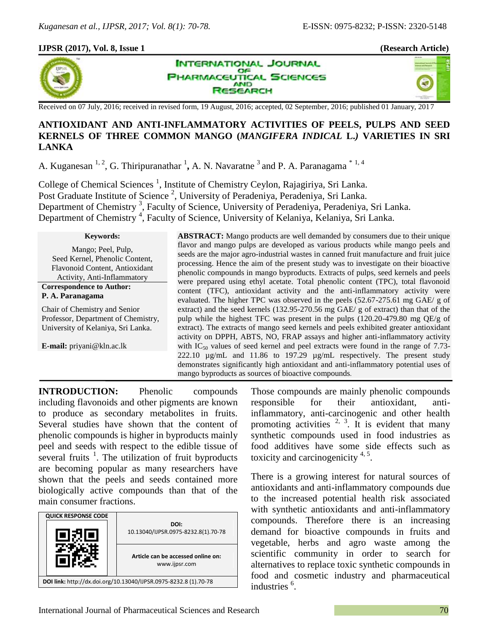## **IJPSR (2017), Vol. 8, Issue 1 (Research Article)**



**INTERNATIONAL JOURNAL** OF **ARMACEUTICAL SCIENCES AND** ESEARCH

49

Received on 07 July, 2016; received in revised form, 19 August, 2016; accepted, 02 September, 2016; published 01 January, 2017

# **ANTIOXIDANT AND ANTI-INFLAMMATORY ACTIVITIES OF PEELS, PULPS AND SEED KERNELS OF THREE COMMON MANGO (***MANGIFERA INDICAL* **L.***)* **VARIETIES IN SRI LANKA**

A. Kuganesan <sup>1, 2</sup>, G. Thiripuranathar <sup>1</sup>, A. N. Navaratne <sup>3</sup> and P. A. Paranagama<sup>\* 1, 4</sup>

College of Chemical Sciences<sup>1</sup>, Institute of Chemistry Ceylon, Rajagiriya, Sri Lanka. Post Graduate Institute of Science<sup>2</sup>, University of Peradeniya, Peradeniya, Sri Lanka. Department of Chemistry<sup>3</sup>, Faculty of Science, University of Peradeniya, Peradeniya, Sri Lanka. Department of Chemistry<sup>4</sup>, Faculty of Science, University of Kelaniya, Kelaniya, Sri Lanka.

#### **Keywords:**

Mango; Peel, Pulp, Seed Kernel, Phenolic Content, Flavonoid Content, Antioxidant Activity, Anti-Inflammatory

#### **Correspondence to Author: P. A. Paranagama**

Chair of Chemistry and Senior Professor, Department of Chemistry, University of Kelaniya, Sri Lanka.

**E-mail:** priyani@kln.ac.lk

**ABSTRACT:** Mango products are well demanded by consumers due to their unique flavor and mango pulps are developed as various products while mango peels and seeds are the major agro-industrial wastes in canned fruit manufacture and fruit juice processing. Hence the aim of the present study was to investigate on their bioactive phenolic compounds in mango byproducts. Extracts of pulps, seed kernels and peels were prepared using ethyl acetate. Total phenolic content (TPC), total flavonoid content (TFC), antioxidant activity and the anti-inflammatory activity were evaluated. The higher TPC was observed in the peels (52.67-275.61 mg GAE/ g of extract) and the seed kernels (132.95-270.56 mg GAE/ g of extract) than that of the pulp while the highest TFC was present in the pulps (120.20-479.80 mg QE/g of extract). The extracts of mango seed kernels and peels exhibited greater antioxidant activity on DPPH, ABTS, NO, FRAP assays and higher anti-inflammatory activity with  $IC_{50}$  values of seed kernel and peel extracts were found in the range of 7.73-222.10 µg/mL and 11.86 to 197.29 µg/mL respectively. The present study demonstrates significantly high antioxidant and anti-inflammatory potential uses of mango byproducts as sources of bioactive compounds*.*

**INTRODUCTION:** Phenolic compounds including flavonoids and other pigments are known to produce as secondary metabolites in fruits. Several studies have shown that the content of phenolic compounds is higher in byproducts mainly peel and seeds with respect to the edible tissue of several fruits  $\frac{1}{1}$ . The utilization of fruit byproducts are becoming popular as many researchers have shown that the peels and seeds contained more biologically active compounds than that of the main consumer fractions.

| <b>QUICK RESPONSE CODE</b>                                       |                                                     |  |  |
|------------------------------------------------------------------|-----------------------------------------------------|--|--|
|                                                                  | DOI:<br>10.13040/IJPSR.0975-8232.8(1).70-78         |  |  |
|                                                                  | Article can be accessed online on:<br>www.ijpsr.com |  |  |
| DOI link: http://dx.doi.org/10.13040/IJPSR.0975-8232.8 (1).70-78 |                                                     |  |  |

Those compounds are mainly phenolic compounds responsible for their antioxidant, antiinflammatory, anti-carcinogenic and other health promoting activities  $2^{3}$ ,  $3^{1}$ . It is evident that many synthetic compounds used in food industries as food additives have some side effects such as toxicity and carcinogenicity  $4.5$ .

There is a growing interest for natural sources of antioxidants and anti-inflammatory compounds due to the increased potential health risk associated with synthetic antioxidants and anti-inflammatory compounds. Therefore there is an increasing demand for bioactive compounds in fruits and vegetable, herbs and agro waste among the scientific community in order to search for alternatives to replace toxic synthetic compounds in food and cosmetic industry and pharmaceutical industries <sup>6</sup>.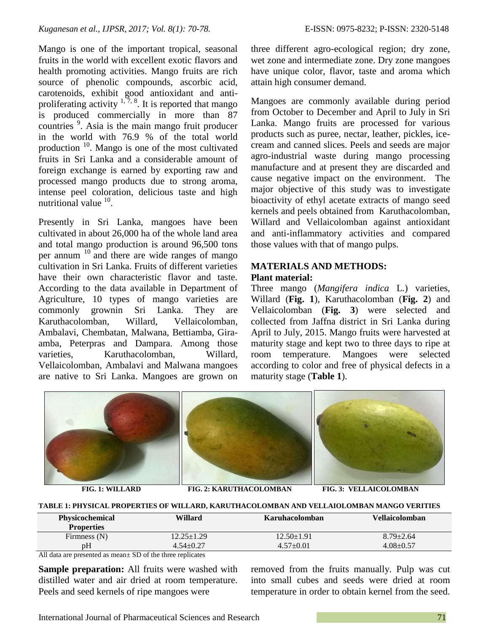Mango is one of the important tropical, seasonal fruits in the world with excellent exotic flavors and health promoting activities. Mango fruits are rich source of phenolic compounds, ascorbic acid, carotenoids, exhibit good antioxidant and antiproliferating activity  $1, 7, 8$ . It is reported that mango is produced commercially in more than 87 countries <sup>9</sup> . Asia is the main mango fruit producer in the world with 76.9 % of the total world production <sup>10</sup>. Mango is one of the most cultivated fruits in Sri Lanka and a considerable amount of foreign exchange is earned by exporting raw and processed mango products due to strong aroma, intense peel coloration, delicious taste and high nutritional value  $10$ .

Presently in Sri Lanka, mangoes have been cultivated in about 26,000 ha of the whole land area and total mango production is around 96,500 tons per annum  $^{10}$  and there are wide ranges of mango cultivation in Sri Lanka. Fruits of different varieties have their own characteristic flavor and taste. According to the data available in Department of Agriculture, 10 types of mango varieties are commonly grownin Sri Lanka. They are Karuthacolomban, Willard, Vellaicolomban, Ambalavi, Chembatan, Malwana, Bettiamba, Giraamba, Peterpras and Dampara. Among those varieties, Karuthacolomban, Willard, Vellaicolomban, Ambalavi and Malwana mangoes are native to Sri Lanka. Mangoes are grown on

three different agro-ecological region; dry zone, wet zone and intermediate zone. Dry zone mangoes have unique color, flavor, taste and aroma which attain high consumer demand.

Mangoes are commonly available during period from October to December and April to July in Sri Lanka. Mango fruits are processed for various products such as puree, nectar, leather, pickles, icecream and canned slices. Peels and seeds are major agro-industrial waste during mango processing manufacture and at present they are discarded and cause negative impact on the environment. The major objective of this study was to investigate bioactivity of ethyl acetate extracts of mango seed kernels and peels obtained from Karuthacolomban, Willard and Vellaicolomban against antioxidant and anti-inflammatory activities and compared those values with that of mango pulps.

# **MATERIALS AND METHODS: Plant material:**

Three mango (*Mangifera indica* L*.*) varieties, Willard (**Fig. 1**), Karuthacolomban (**Fig. 2**) and Vellaicolomban (**Fig. 3**) were selected and collected from Jaffna district in Sri Lanka during April to July, 2015. Mango fruits were harvested at maturity stage and kept two to three days to ripe at room temperature. Mangoes were selected according to color and free of physical defects in a maturity stage (**Table 1**).



#### **TABLE 1: PHYSICAL PROPERTIES OF WILLARD, KARUTHACOLOMBAN AND VELLAIOLOMBAN MANGO VERITIES**

| <b>Physicochemical</b> | Willard          | Karuhacolomban | Vellaicolomban  |
|------------------------|------------------|----------------|-----------------|
| <b>Properties</b>      |                  |                |                 |
| Firmness $(N)$         | $12.25 \pm 1.29$ | 12.50±1.91     | $8.79 \pm 2.64$ |
| pH                     | $4.54 + 0.27$    | $4.57+0.01$    | $4.08 + 0.57$   |

All data are presented as mean± SD of the three replicates

**Sample preparation:** All fruits were washed with distilled water and air dried at room temperature. Peels and seed kernels of ripe mangoes were

removed from the fruits manually. Pulp was cut into small cubes and seeds were dried at room temperature in order to obtain kernel from the seed.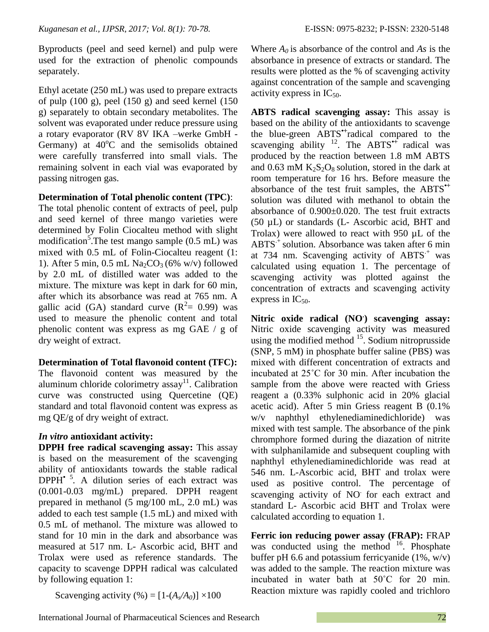Byproducts (peel and seed kernel) and pulp were used for the extraction of phenolic compounds separately.

Ethyl acetate (250 mL) was used to prepare extracts of pulp (100 g), peel (150 g) and seed kernel (150 g) separately to obtain secondary metabolites. The solvent was evaporated under reduce pressure using a rotary evaporator (RV 8V IKA –werke GmbH - Germany) at  $40^{\circ}$ C and the semisolids obtained were carefully transferred into small vials. The remaining solvent in each vial was evaporated by passing nitrogen gas.

## **Determination of Total phenolic content (TPC)**:

The total phenolic content of extracts of peel, pulp and seed kernel of three mango varieties were determined by Folin Ciocalteu method with slight modification<sup>5</sup>. The test mango sample  $(0.5 \text{ mL})$  was mixed with 0.5 mL of Folin-Ciocalteu reagent (1: 1). After 5 min,  $0.5$  mL Na<sub>2</sub>CO<sub>3</sub> (6% w/v) followed by 2.0 mL of distilled water was added to the mixture. The mixture was kept in dark for 60 min, after which its absorbance was read at 765 nm. A gallic acid (GA) standard curve  $(R^2 = 0.99)$  was used to measure the phenolic content and total phenolic content was express as mg GAE / g of dry weight of extract.

## **Determination of Total flavonoid content (TFC):**

The flavonoid content was measured by the aluminum chloride colorimetry assay<sup>11</sup>. Calibration curve was constructed using Quercetine (QE) standard and total flavonoid content was express as mg QE/g of dry weight of extract.

# *In vitro* **antioxidant activity:**

**DPPH free radical scavenging assay:** This assay is based on the measurement of the scavenging ability of antioxidants towards the stable radical DPPH*•* <sup>5</sup> *.* A dilution series of each extract was (0.001-0.03 mg/mL) prepared. DPPH reagent prepared in methanol (5 mg/100 mL, 2.0 mL) was added to each test sample (1.5 mL) and mixed with 0.5 mL of methanol. The mixture was allowed to stand for 10 min in the dark and absorbance was measured at 517 nm. L- Ascorbic acid, BHT and Trolax were used as reference standards. The capacity to scavenge DPPH radical was calculated by following equation 1:

Scavenging activity  $(\% ) = [1-(A<sub>s</sub>/A<sub>0</sub>)] \times 100$ 

Where  $A_0$  is absorbance of the control and  $As$  is the absorbance in presence of extracts or standard. The results were plotted as the % of scavenging activity against concentration of the sample and scavenging activity express in  $IC_{50}$ .

**ABTS radical scavenging assay:** This assay is based on the ability of the antioxidants to scavenge the blue-green ABTS*•+*radical compared to the scavenging ability <sup>12</sup>. The ABTS<sup>\*+</sup> radical was produced by the reaction between 1.8 mM ABTS and 0.63 mM  $K_2S_2O_8$  solution, stored in the dark at room temperature for 16 hrs. Before measure the absorbance of the test fruit samples, the ABTS*•+* solution was diluted with methanol to obtain the absorbance of 0.900±0.020. The test fruit extracts (50 µL) or standards (L- Ascorbic acid, BHT and Trolax) were allowed to react with 950 µL of the  $ABTS^+$  solution. Absorbance was taken after 6 min at 734 nm. Scavenging activity of  $ABTS^+$  was calculated using equation 1. The percentage of scavenging activity was plotted against the concentration of extracts and scavenging activity express in  $IC_{50}$ .

**Nitric oxide radical (NO. ) scavenging assay:**  Nitric oxide scavenging activity was measured using the modified method  $15$ . Sodium nitroprusside (SNP, 5 mM) in phosphate buffer saline (PBS) was mixed with different concentration of extracts and incubated at 25˚C for 30 min. After incubation the sample from the above were reacted with Griess reagent a (0.33% sulphonic acid in 20% glacial acetic acid). After 5 min Griess reagent B (0.1% w/v naphthyl ethylenediaminedichloride) was mixed with test sample. The absorbance of the pink chromphore formed during the diazation of nitrite with sulphanilamide and subsequent coupling with naphthyl ethylenediaminedichloride was read at 546 nm. L-Ascorbic acid, BHT and trolax were used as positive control. The percentage of scavenging activity of NO for each extract and standard L- Ascorbic acid BHT and Trolax were calculated according to equation 1.

**Ferric ion reducing power assay (FRAP):** FRAP was conducted using the method  $16$ . Phosphate buffer pH 6.6 and potassium ferricyanide  $(1\%, w/v)$ was added to the sample. The reaction mixture was incubated in water bath at 50˚C for 20 min. Reaction mixture was rapidly cooled and trichloro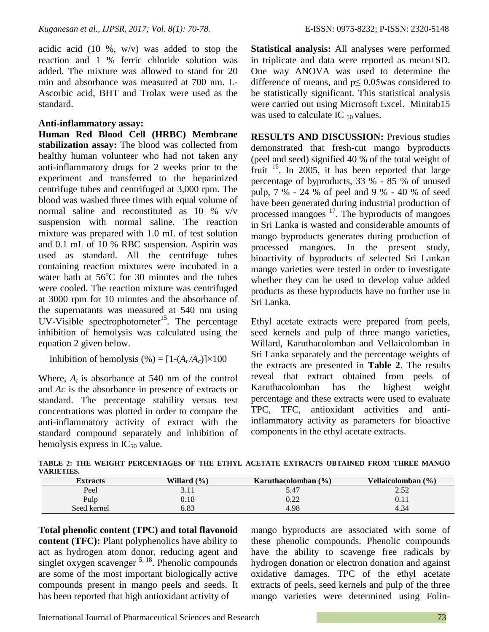acidic acid (10 %,  $w/v$ ) was added to stop the reaction and 1 % ferric chloride solution was added. The mixture was allowed to stand for 20 min and absorbance was measured at 700 nm. L-Ascorbic acid, BHT and Trolax were used as the standard.

## **Anti-inflammatory assay:**

**Human Red Blood Cell (HRBC) Membrane stabilization assay:** The blood was collected from healthy human volunteer who had not taken any anti-inflammatory drugs for 2 weeks prior to the experiment and transferred to the heparinized centrifuge tubes and centrifuged at 3,000 rpm. The blood was washed three times with equal volume of normal saline and reconstituted as 10 % v/v suspension with normal saline. The reaction mixture was prepared with 1.0 mL of test solution and 0.1 mL of 10 % RBC suspension. Aspirin was used as standard. All the centrifuge tubes containing reaction mixtures were incubated in a water bath at  $56^{\circ}$ C for 30 minutes and the tubes were cooled. The reaction mixture was centrifuged at 3000 rpm for 10 minutes and the absorbance of the supernatants was measured at 540 nm using UV-Visible spectrophotometer<sup>15</sup>. The percentage inhibition of hemolysis was calculated using the equation 2 given below.

Inhibition of hemolysis (%) =  $[1-(A_t/A_c)] \times 100$ 

Where,  $A_t$  is absorbance at 540 nm of the control and *Ac* is the absorbance in presence of extracts or standard. The percentage stability versus test concentrations was plotted in order to compare the anti-inflammatory activity of extract with the standard compound separately and inhibition of hemolysis express in  $IC_{50}$  value.

**Statistical analysis:** All analyses were performed in triplicate and data were reported as mean±SD. One way ANOVA was used to determine the difference of means, and  $p \leq 0.05$  was considered to be statistically significant. This statistical analysis were carried out using Microsoft Excel. Minitab15 was used to calculate IC  $_{50}$  values.

**RESULTS AND DISCUSSION:** Previous studies demonstrated that fresh-cut mango byproducts (peel and seed) signified 40 % of the total weight of fruit <sup>16</sup>. In 2005, it has been reported that large percentage of byproducts, 33 % - 85 % of unused pulp, 7 % - 24 % of peel and 9 % - 40 % of seed have been generated during industrial production of processed mangoes <sup>17</sup>. The byproducts of mangoes in Sri Lanka is wasted and considerable amounts of mango byproducts generates during production of processed mangoes. In the present study, bioactivity of byproducts of selected Sri Lankan mango varieties were tested in order to investigate whether they can be used to develop value added products as these byproducts have no further use in Sri Lanka.

Ethyl acetate extracts were prepared from peels, seed kernels and pulp of three mango varieties, Willard, Karuthacolomban and Vellaicolomban in Sri Lanka separately and the percentage weights of the extracts are presented in **Table 2**. The results reveal that extract obtained from peels of Karuthacolomban has the highest weight percentage and these extracts were used to evaluate TPC, TFC, antioxidant activities and antiinflammatory activity as parameters for bioactive components in the ethyl acetate extracts.

| ,,,,,,,,,,,,,,, |                 |                         |                    |  |  |
|-----------------|-----------------|-------------------------|--------------------|--|--|
| <b>Extracts</b> | Willard $(\% )$ | Karuthacolomban $(\% )$ | Vellaicolomban (%) |  |  |
| Peel            | J.II            | 5.47                    | 4.04               |  |  |
| Pulp            | 0.18            | ר ר<br>U.ZZ             | V.II               |  |  |
| Seed kernel     | 6.83            | 4.98                    | 4.34               |  |  |

**TABLE 2: THE WEIGHT PERCENTAGES OF THE ETHYL ACETATE EXTRACTS OBTAINED FROM THREE MANGO VARIETIES.**

**Total phenolic content (TPC) and total flavonoid content (TFC):** Plant polyphenolics have ability to act as hydrogen atom donor, reducing agent and singlet oxygen scavenger  $5, 18$ . Phenolic compounds are some of the most important biologically active compounds present in mango peels and seeds. It has been reported that high antioxidant activity of

mango byproducts are associated with some of these phenolic compounds. Phenolic compounds have the ability to scavenge free radicals by hydrogen donation or electron donation and against oxidative damages. TPC of the ethyl acetate extracts of peels, seed kernels and pulp of the three mango varieties were determined using Folin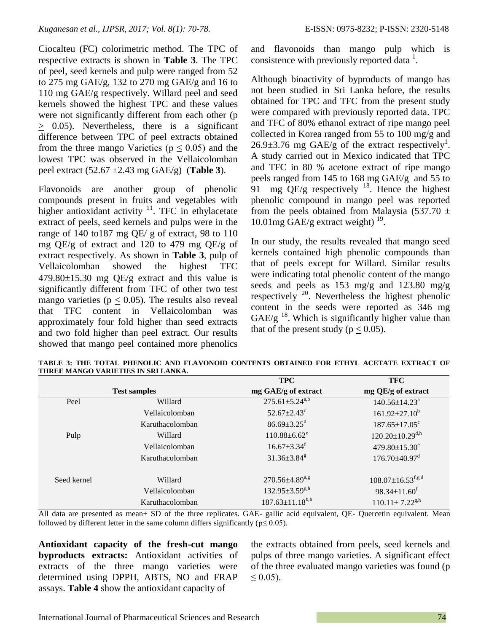Ciocalteu (FC) colorimetric method. The TPC of respective extracts is shown in **Table 3**. The TPC of peel, seed kernels and pulp were ranged from 52 to 275 mg GAE/g, 132 to 270 mg GAE/g and 16 to 110 mg GAE/g respectively. Willard peel and seed kernels showed the highest TPC and these values were not significantly different from each other (p  $\geq$  0.05). Nevertheless, there is a significant difference between TPC of peel extracts obtained from the three mango Varieties ( $p \le 0.05$ ) and the lowest TPC was observed in the Vellaicolomban peel extract (52.67 ±2.43 mg GAE/g) (**Table 3**).

Flavonoids are another group of phenolic compounds present in fruits and vegetables with higher antioxidant activity  $11$ . TFC in ethylacetate extract of peels, seed kernels and pulps were in the range of 140 to187 mg QE/ g of extract, 98 to 110 mg QE/g of extract and 120 to 479 mg QE/g of extract respectively. As shown in **Table 3**, pulp of Vellaicolomban showed the highest TFC  $479.80\pm15.30$  mg QE/g extract and this value is significantly different from TFC of other two test mango varieties ( $p < 0.05$ ). The results also reveal that TFC content in Vellaicolomban was approximately four fold higher than seed extracts and two fold higher than peel extract. Our results showed that mango peel contained more phenolics

and flavonoids than mango pulp which is consistence with previously reported data  $<sup>1</sup>$ .</sup>

Although bioactivity of byproducts of mango has not been studied in Sri Lanka before, the results obtained for TPC and TFC from the present study were compared with previously reported data. TPC and TFC of 80% ethanol extract of ripe mango peel collected in Korea ranged from 55 to 100 mg/g and  $26.9\pm3.76$  mg GAE/g of the extract respectively<sup>1</sup>. A study carried out in Mexico indicated that TPC and TFC in 80 % acetone extract of ripe mango peels ranged from 145 to 168 mg GAE/g and 55 to 91 mg  $QE/g$  respectively <sup>18</sup>. Hence the highest phenolic compound in mango peel was reported from the peels obtained from Malaysia (537.70  $\pm$ 10.01mg  $\text{GAE/g}$  extract weight)  $^{19}$ .

In our study, the results revealed that mango seed kernels contained high phenolic compounds than that of peels except for Willard. Similar results were indicating total phenolic content of the mango seeds and peels as 153 mg/g and 123.80 mg/g respectively  $^{20}$ . Nevertheless the highest phenolic content in the seeds were reported as 346 mg  $GAE/g$ <sup>18</sup>. Which is significantly higher value than that of the present study ( $p < 0.05$ ).

|                     |                 | TFC                            | TFC                                 |
|---------------------|-----------------|--------------------------------|-------------------------------------|
| <b>Test samples</b> |                 | mg GAE/g of extract            | mg QE/g of extract                  |
| Peel                | Willard         | $275.61 \pm 5.24^{a,b}$        | 140.56±14.23 <sup>a</sup>           |
|                     | Vellaicolomban  | $52.67 \pm 2.43$ °             | $161.92 \pm 27.10^b$                |
|                     | Karuthacolomban | $86.69 \pm 3.25$ <sup>d</sup>  | $187.65 \pm 17.05$ <sup>c</sup>     |
| Pulp                | Willard         | $110.88 \pm 6.62$ <sup>e</sup> | $120.20 \pm 10.29$ <sup>d,h</sup>   |
|                     | Vellaicolomban  | $16.67 \pm 3.34$ <sup>f</sup>  | 479.80 $\pm$ 15.30 $^{\circ}$       |
|                     | Karuthacolomban | $31.36 \pm 3.84$ <sup>g</sup>  | $176.70\pm40.97$ <sup>d</sup>       |
| Seed kernel         | Willard         | $270.56 \pm 4.89^{a,g}$        | $108.07 \pm 16.53$ <sup>f,g,d</sup> |
|                     | Vellaicolomban  | $132.95 \pm 3.59^{g,h}$        | $98.34 \pm 11.60$ <sup>f</sup>      |
|                     | Karuthacolomban | $187.63 \pm 11.18^{b,h}$       | $110.11 \pm 7.22^{g,h}$             |

**TABLE 3: THE TOTAL PHENOLIC AND FLAVONOID CONTENTS OBTAINED FOR ETHYL ACETATE EXTRACT OF THREE MANGO VARIETIES IN SRI LANKA.**  $\overline{m}$  $\overline{c}$  $T_{\rm T}$  $\alpha$ 

All data are presented as mean± SD of the three replicates. GAE- gallic acid equivalent, QE- Quercetin equivalent. Mean followed by different letter in the same column differs significantly ( $p \le 0.05$ ).

**Antioxidant capacity of the fresh-cut mango byproducts extracts:** Antioxidant activities of extracts of the three mango varieties were determined using DPPH, ABTS, NO and FRAP assays. **Table 4** show the antioxidant capacity of

the extracts obtained from peels, seed kernels and pulps of three mango varieties. A significant effect of the three evaluated mango varieties was found (p  $\leq 0.05$ ).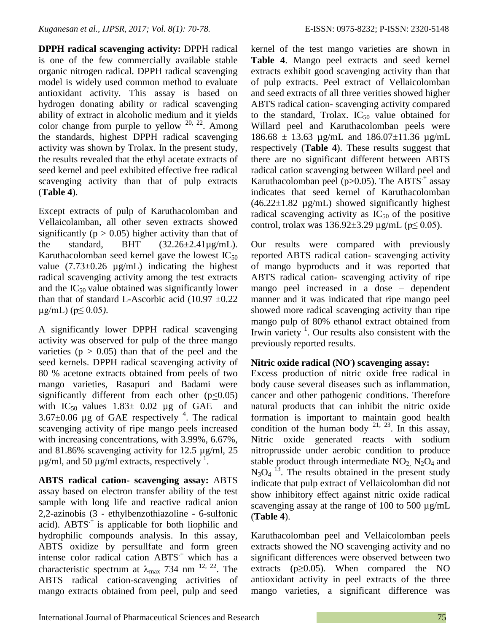**DPPH radical scavenging activity:** DPPH radical is one of the few commercially available stable organic nitrogen radical. DPPH radical scavenging model is widely used common method to evaluate antioxidant activity. This assay is based on hydrogen donating ability or radical scavenging ability of extract in alcoholic medium and it yields color change from purple to yellow  $20$ ,  $22$ . Among the standards, highest DPPH radical scavenging activity was shown by Trolax. In the present study, the results revealed that the ethyl acetate extracts of seed kernel and peel exhibited effective free radical scavenging activity than that of pulp extracts (**Table 4**).

Except extracts of pulp of Karuthacolomban and Vellaicolamban, all other seven extracts showed significantly ( $p > 0.05$ ) higher activity than that of the standard, BHT  $(32.26\pm2.41\,\mu\text{g/mL})$ . Karuthacolomban seed kernel gave the lowest  $IC_{50}$ value  $(7.73\pm0.26 \text{ µg/mL})$  indicating the highest radical scavenging activity among the test extracts and the  $IC_{50}$  value obtained was significantly lower than that of standard L-Ascorbic acid  $(10.97 \pm 0.22)$ µg/mL) (p≤ 0.05*)*.

A significantly lower DPPH radical scavenging activity was observed for pulp of the three mango varieties ( $p > 0.05$ ) than that of the peel and the seed kernels. DPPH radical scavenging activity of 80 % acetone extracts obtained from peels of two mango varieties, Rasapuri and Badami were significantly different from each other  $(p<0.05)$ with  $IC_{50}$  values  $1.83 \pm 0.02$  µg of GAE and  $3.67\pm0.06$  µg of GAE respectively <sup>4</sup>. The radical scavenging activity of ripe mango peels increased with increasing concentrations, with 3.99%, 6.67%, and 81.86% scavenging activity for 12.5 µg/ml, 25  $\mu$ g/ml, and 50  $\mu$ g/ml extracts, respectively  $\frac{1}{2}$ .

**ABTS radical cation- scavenging assay:** ABTS assay based on electron transfer ability of the test sample with long life and reactive radical anion 2,2-azinobis (3 - ethylbenzothiazoline - 6-sulfonic acid).  $ABTS^+$  is applicable for both liophilic and hydrophilic compounds analysis. In this assay, ABTS oxidize by persullfate and form green intense color radical cation  $ABTS<sup>+</sup>$  which has a characteristic spectrum at  $\lambda_{\text{max}}$  734 nm <sup>12, 22</sup>. The ABTS radical cation-scavenging activities of mango extracts obtained from peel, pulp and seed

kernel of the test mango varieties are shown in **Table 4**. Mango peel extracts and seed kernel extracts exhibit good scavenging activity than that of pulp extracts. Peel extract of Vellaicolomban and seed extracts of all three verities showed higher ABTS radical cation- scavenging activity compared to the standard, Trolax.  $IC_{50}$  value obtained for Willard peel and Karuthacolomban peels were  $186.68 \pm 13.63$  µg/mL and  $186.07 \pm 11.36$  µg/mL respectively (**Table 4**). These results suggest that there are no significant different between ABTS radical cation scavenging between Willard peel and Karuthacolomban peel (p $>0.05$ ). The ABTS<sup> $+$ </sup> assay indicates that seed kernel of Karuthacolomban  $(46.22 \pm 1.82 \text{ µg/mL})$  showed significantly highest radical scavenging activity as  $IC_{50}$  of the positive control, trolax was  $136.92 \pm 3.29$  µg/mL ( $p \le 0.05$ ).

Our results were compared with previously reported ABTS radical cation- scavenging activity of mango byproducts and it was reported that ABTS radical cation- scavenging activity of ripe mango peel increased in a dose – dependent manner and it was indicated that ripe mango peel showed more radical scavenging activity than ripe mango pulp of 80% ethanol extract obtained from Irwin variety  $\frac{1}{1}$ . Our results also consistent with the previously reported results.

# **Nitric oxide radical (NO. ) scavenging assay:**

Excess production of nitric oxide free radical in body cause several diseases such as inflammation, cancer and other pathogenic conditions. Therefore natural products that can inhibit the nitric oxide formation is important to maintain good health condition of the human body  $2^{1, 23}$ . In this assay, Nitric oxide generated reacts with sodium nitroprusside under aerobic condition to produce stable product through intermediate  $NO<sub>2</sub>$ ,  $N<sub>2</sub>O<sub>4</sub>$  and  $N_3O_4$ <sup>13</sup>. The results obtained in the present study indicate that pulp extract of Vellaicolomban did not show inhibitory effect against nitric oxide radical scavenging assay at the range of 100 to 500  $\mu$ g/mL (**Table 4**).

Karuthacolomban peel and Vellaicolomban peels extracts showed the NO scavenging activity and no significant differences were observed between two extracts ( $p \geq 0.05$ ). When compared the NO antioxidant activity in peel extracts of the three mango varieties, a significant difference was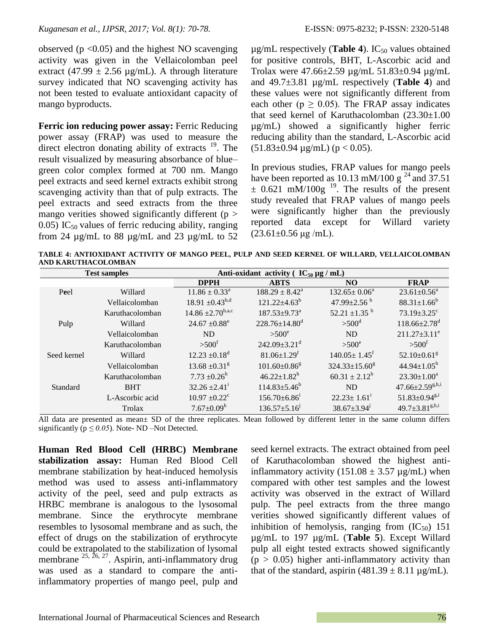observed ( $p < 0.05$ ) and the highest NO scavenging activity was given in the Vellaicolomban peel extract (47.99  $\pm$  2.56 µg/mL). A through literature survey indicated that NO scavenging activity has not been tested to evaluate antioxidant capacity of mango byproducts.

**Ferric ion reducing power assay:** Ferric Reducing power assay (FRAP) was used to measure the direct electron donating ability of extracts <sup>19</sup>. The result visualized by measuring absorbance of blue– green color complex formed at 700 nm. Mango peel extracts and seed kernel extracts exhibit strong scavenging activity than that of pulp extracts. The peel extracts and seed extracts from the three mango verities showed significantly different ( $p$  > 0.05) IC<sub>50</sub> values of ferric reducing ability, ranging from 24  $\mu$ g/mL to 88  $\mu$ g/mL and 23  $\mu$ g/mL to 52

 $\mu$ g/mL respectively (**Table 4**). IC<sub>50</sub> values obtained for positive controls, BHT, L-Ascorbic acid and Trolax were 47.66±2.59 µg/mL 51.83±0.94 µg/mL and 49.7±3.81 µg/mL respectively (**Table 4**) and these values were not significantly different from each other ( $p \ge 0.05$ ). The FRAP assay indicates that seed kernel of Karuthacolomban  $(23.30 \pm 1.00)$ µg/mL) showed a significantly higher ferric reducing ability than the standard, L-Ascorbic acid  $(51.83\pm0.94 \text{ µg/mL})$  (p < 0.05).

In previous studies, FRAP values for mango peels have been reported as 10.13 mM/100 g<sup>24</sup> and 37.51  $\pm$  0.621 mM/100g <sup>19</sup>. The results of the present study revealed that FRAP values of mango peels were significantly higher than the previously reported data except for Willard variety  $(23.61 \pm 0.56 \,\mathrm{µg/mL}).$ 

**TABLE 4: ANTIOXIDANT ACTIVITY OF MANGO PEEL, PULP AND SEED KERNEL OF WILLARD, VELLAICOLOMBAN AND KARUTHACOLOMBAN**

| <b>Test samples</b> |                 | Anti-oxidant activity ( $IC_{50} \mu g / mL$ ) |                                 |                                 |                                 |
|---------------------|-----------------|------------------------------------------------|---------------------------------|---------------------------------|---------------------------------|
|                     |                 | <b>DPPH</b>                                    | <b>ABTS</b>                     | N <sub>O</sub>                  | <b>FRAP</b>                     |
| Peel                | Willard         | $11.86 \pm 0.33^{\circ}$                       | $188.29 \pm 8.42^a$             | $132.65 \pm 0.06^a$             | $23.61 \pm 0.56^a$              |
|                     | Vellaicolomban  | $18.91 \pm 0.43^{b,d}$                         | $121.22 \pm 4.63^b$             | 47.99 $\pm$ 2.56 $^{\rm b}$     | $88.31 \pm 1.66^b$              |
|                     | Karuthacolomban | $14.86 \pm 2.70^{b,a,c}$                       | $187.53 \pm 9.73^a$             | 52.21 $\pm$ 1.35 $^{\rm b}$     | $73.19 \pm 3.25$ <sup>c</sup>   |
| Pulp                | Willard         | $24.67 \pm 0.88$ <sup>e</sup>                  | $228.76 \pm 14.80$ <sup>d</sup> | $>500$ <sup>d</sup>             | $118.66 \pm 2.78$ <sup>d</sup>  |
|                     | Vellaicolomban  | <b>ND</b>                                      | $> 500^e$                       | <b>ND</b>                       | $211.27 \pm 3.11^e$             |
|                     | Karuthacolomban | $>500^{\rm f}$                                 | $242.09 \pm 3.21$ <sup>d</sup>  | $>500^\circ$                    | $> 500^{\rm f}$                 |
| Seed kernel         | Willard         | $12.23 \pm 0.18^d$                             | $81.06 \pm 1.29$ <sup>f</sup>   | $140.05 \pm 1.45$ <sup>f</sup>  | $52.10 \pm 0.61$ <sup>g</sup>   |
|                     | Vellaicolomban  | $13.68 \pm 0.31$ <sup>g</sup>                  | $101.60 \pm 0.86$ <sup>g</sup>  | $324.33 \pm 15.60$ <sup>g</sup> | $44.94 \pm 1.05^h$              |
|                     | Karuthacolomban | $7.73 \pm 0.26^{\rm h}$                        | $46.22 \pm 1.82^h$              | $60.31 \pm 2.12^h$              | $23.30 \pm 1.00^a$              |
| Standard            | <b>BHT</b>      | $32.26 \pm 2.41$                               | $114.83 \pm 5.46^b$             | <b>ND</b>                       | $47.66 \pm 2.59^{g,h,i}$        |
|                     | L-Ascorbic acid | $10.97 \pm 0.22$ <sup>c</sup>                  | $156.70\pm 6.86^{\mathrm{i}}$   | $22.23 \pm 1.61$ <sup>1</sup>   | $51.83 \pm 0.94$ <sup>g,i</sup> |
|                     | Trolax          | $7.67 \pm 0.09^h$                              | $136.57 \pm 5.16$ <sup>j</sup>  | $38.67 \pm 3.94$ <sup>j</sup>   | $49.7 \pm 3.81^{g,h,i}$         |

All data are presented as mean± SD of the three replicates. Mean followed by different letter in the same column differs significantly ( $p \le 0.05$ ). Note- ND –Not Detected.

**Human Red Blood Cell (HRBC) Membrane stabilization assay:** Human Red Blood Cell membrane stabilization by heat-induced hemolysis method was used to assess anti-inflammatory activity of the peel, seed and pulp extracts as HRBC membrane is analogous to the lysosomal membrane. Since the erythrocyte membrane resembles to lysosomal membrane and as such, the effect of drugs on the stabilization of erythrocyte could be extrapolated to the stabilization of lysomal membrane  $^{25, 26, 27}$ . Aspirin, anti-inflammatory drug was used as a standard to compare the antiinflammatory properties of mango peel, pulp and

seed kernel extracts. The extract obtained from peel of Karuthacolomban showed the highest antiinflammatory activity  $(151.08 \pm 3.57 \text{ µg/mL})$  when compared with other test samples and the lowest activity was observed in the extract of Willard pulp. The peel extracts from the three mango verities showed significantly different values of inhibition of hemolysis, ranging from  $(IC_{50})$  151 µg/mL to 197 µg/mL (**Table 5**). Except Willard pulp all eight tested extracts showed significantly  $(p > 0.05)$  higher anti-inflammatory activity than that of the standard, aspirin  $(481.39 \pm 8.11 \,\mu g/mL)$ .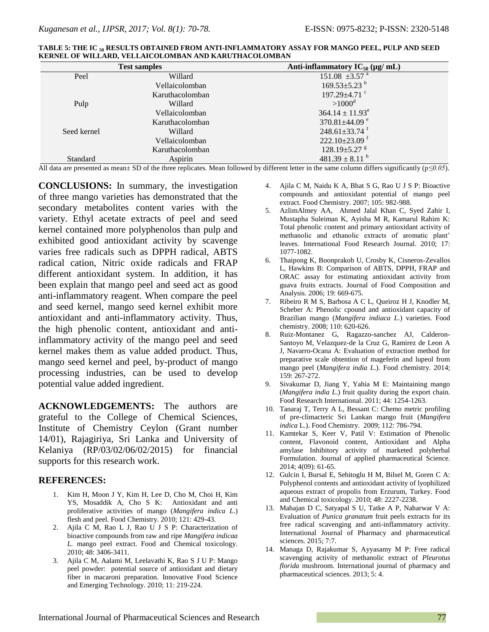| <b>Test samples</b> |                 | Anti-inflammatory $IC_{50}$ (µg/ mL) |  |
|---------------------|-----------------|--------------------------------------|--|
| Peel                | Willard         | $151.08 \pm 3.57$ <sup>a</sup>       |  |
|                     | Vellaicolomban  | $169.53 \pm 5.23$ <sup>b</sup>       |  |
|                     | Karuthacolomban | $197.29 + 4.71$ °                    |  |
| Pulp                | Willard         | $>1000^{\rm d}$                      |  |
|                     | Vellaicolomban  | $364.14 \pm 11.93^e$                 |  |
|                     | Karuthacolomban | 370.81 $\pm$ 44.09 $^{\circ}$        |  |
| Seed kernel         | Willard         | $248.61 \pm 33.74$ <sup>f</sup>      |  |
|                     | Vellaicolomban  | $222.10\pm23.09$ <sup>f</sup>        |  |
|                     | Karuthacolomban | $128.19 \pm 5.27$ s                  |  |
| Standard            | Aspirin         | $481.39 \pm 8.11$ <sup>h</sup>       |  |

| TABLE 5: THE IC <sub>50</sub> RESULTS OBTAINED FROM ANTI-INFLAMMATORY ASSAY FOR MANGO PEEL, PULP AND SEED |  |
|-----------------------------------------------------------------------------------------------------------|--|
| KERNEL OF WILLARD. VELLAICOLOMBAN AND KARUTHACOLOMBAN                                                     |  |

All data are presented as mean± SD of the three replicates. Mean followed by different letter in the same column differs significantly (p*≤0.05*).

**CONCLUSIONS:** In summary, the investigation of three mango varieties has demonstrated that the secondary metabolites content varies with the variety. Ethyl acetate extracts of peel and seed kernel contained more polyphenolos than pulp and exhibited good antioxidant activity by scavenge varies free radicals such as DPPH radical, ABTS radical cation, Nitric oxide radicals and FRAP different antioxidant system. In addition, it has been explain that mango peel and seed act as good anti-inflammatory reagent. When compare the peel and seed kernel, mango seed kernel exhibit more antioxidant and anti-inflammatory activity. Thus, the high phenolic content, antioxidant and antiinflammatory activity of the mango peel and seed kernel makes them as value added product. Thus, mango seed kernel and peel, by-product of mango processing industries, can be used to develop potential value added ingredient.

**ACKNOWLEDGEMENTS:** The authors are grateful to the College of Chemical Sciences, Institute of Chemistry Ceylon (Grant number 14/01), Rajagiriya, Sri Lanka and University of Kelaniya (RP/03/02/06/02/2015) for financial supports for this research work.

#### **REFERENCES:**

- 1. Kim H, Moon J Y, Kim H, Lee D, Cho M, Choi H, Kim YS, Mosaddik A, Cho S K: Antioxidant and anti proliferative activities of mango (*Mangifera indica L*.) flesh and peel. Food Chemistry. 2010; 121: 429-43.
- 2. Ajila C M, Rao L J, Rao U J S P: Characterization of bioactive compounds from raw and ripe *Mangifera indicaa L.* mango peel extract. Food and Chemical toxicology. 2010; 48: 3406-3411.
- 3. Ajila C M, Aalami M, Leelavathi K, Rao S J U P: Mango peel powder: potential source of antioxidant and dietary fiber in macaroni preparation. Innovative Food Science and Emerging Technology. 2010; 11: 219-224.
- 4. Ajila C M, Naidu K A, Bhat S G, Rao U J S P: Bioactive compounds and antioxidant potential of mango peel extract. Food Chemistry. 2007; 105: 982-988.
- 5. AzlimAlmey AA, Ahmed Jalal Khan C, Syed Zahir I, Mustapha Suleiman K, Ayisha M R, Kamarul Rahim K: Total phenolic content and primary antioxidant activity of methanolic and ethanolic extracts of aromatic plant' leaves. International Food Research Journal. 2010; 17: 1077-1082.
- 6. Thaipong K, Boonprakob U, Crosby K, Cisneros-Zevallos L, Hawkins B: Comparison of ABTS, DPPH, FRAP and ORAC assay for estimating antioxidant activity from guava fruits extracts. Journal of Food Composition and Analysis. 2006; 19: 669-675.
- 7. Ribeiro R M S, Barbosa A C L, Queiroz H J, Knodler M, Scheber A: Phenolic cpound and antioxidant capacity of Brazilian mango (*Mangifera indiaca L*.) varieties. Food chemistry. 2008; 110: 620-626.
- 8. Ruiz-Montanez G, Ragazzo-sanchez AJ, Calderon-Santoyo M, Velazquez-de la Cruz G, Ramirez de Leon A J, Navarro-Ocana A: Evaluation of extraction method for preparative scale obtention of mageferin and lupeol from mango peel (*Mangifera india L*.). Food chemistry. 2014; 159: 267-272.
- 9. Sivakumar D, Jiang Y, Yahia M E: Maintaining mango (*Mangifera india L*.) fruit quality during the export chain. Food Research International. 2011; 44: 1254-1263.
- 10. Tanaraj T, Terry A L, Bessant C: Chemo metric profiling of pre-climacteric Sri Lankan mango fruit (*Mangifera indica* L.). Food Chemistry. 2009; 112: 786-794.
- 11. Kamtekar S, Keer V, Patil V: Estimation of Phenolic content, Flavonoid content, Antioxidant and Alpha amylase Inhibitory activity of marketed polyherbal Formulation. Journal of applied pharmaceutical Science. 2014; 4(09): 61-65.
- 12. Gulcin I, Bursal E, Sehitoglu H M, Bilsel M, Goren C A: Polyphenol contents and antioxidant activity of lyophilized aqueous extract of propolis from Erzurum, Turkey. Food and Chemical toxicology. 2010; 48: 2227-2238.
- 13. Mahajan D C, Satyapal S U, Tatke A P, Naharwar V A: Evaluation of *Punica granatum* fruit peels extracts for its free radical scavenging and anti-inflammatory activity. International Journal of Pharmacy and pharmaceutical sciences. 2015; 7:7.
- 14. Managa D, Rajakumar S, Ayyasamy M P: Free radical scavenging activity of methanolic extract of *Pleurotus florida* mushroom. International journal of pharmacy and pharmaceutical sciences. 2013; 5: 4.